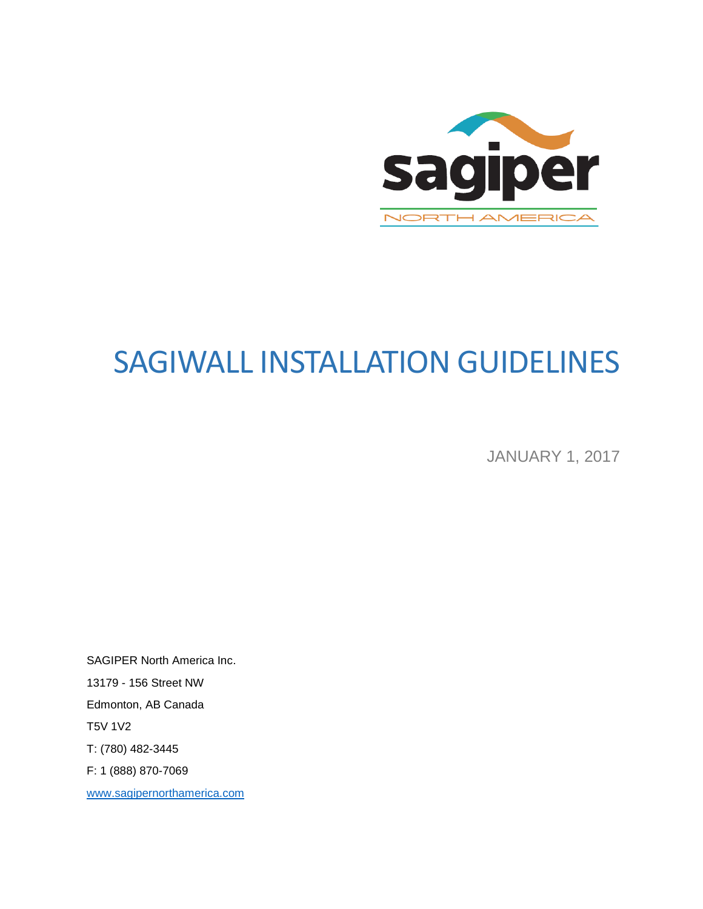

# SAGIWALL INSTALLATION GUIDELINES

JANUARY 1, 2017

SAGIPER North America Inc. 13179 - 156 Street NW Edmonton, AB Canada T5V 1V2 T: (780) 482-3445 F: 1 (888) 870-7069 [www.sagipernorthamerica.com](http://www.sagipernorthamerica.com/)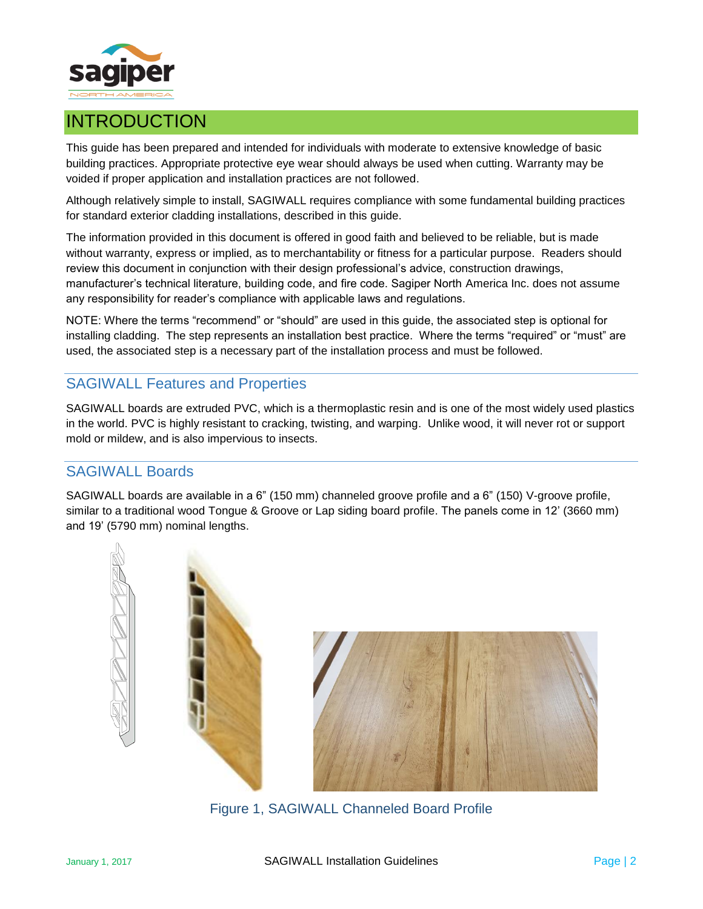

# INTRODUCTION

This guide has been prepared and intended for individuals with moderate to extensive knowledge of basic building practices. Appropriate protective eye wear should always be used when cutting. Warranty may be voided if proper application and installation practices are not followed.

Although relatively simple to install, SAGIWALL requires compliance with some fundamental building practices for standard exterior cladding installations, described in this guide.

The information provided in this document is offered in good faith and believed to be reliable, but is made without warranty, express or implied, as to merchantability or fitness for a particular purpose. Readers should review this document in conjunction with their design professional's advice, construction drawings, manufacturer's technical literature, building code, and fire code. Sagiper North America Inc. does not assume any responsibility for reader's compliance with applicable laws and regulations.

NOTE: Where the terms "recommend" or "should" are used in this guide, the associated step is optional for installing cladding. The step represents an installation best practice. Where the terms "required" or "must" are used, the associated step is a necessary part of the installation process and must be followed.

# SAGIWALL Features and Properties

SAGIWALL boards are extruded PVC, which is a thermoplastic resin and is one of the most widely used plastics in the world. PVC is highly resistant to cracking, twisting, and warping. Unlike wood, it will never rot or support mold or mildew, and is also impervious to insects.

# SAGIWALL Boards

SAGIWALL boards are available in a 6" (150 mm) channeled groove profile and a 6" (150) V-groove profile, similar to a traditional wood Tongue & Groove or Lap siding board profile. The panels come in 12' (3660 mm) and 19' (5790 mm) nominal lengths.





Figure 1, SAGIWALL Channeled Board Profile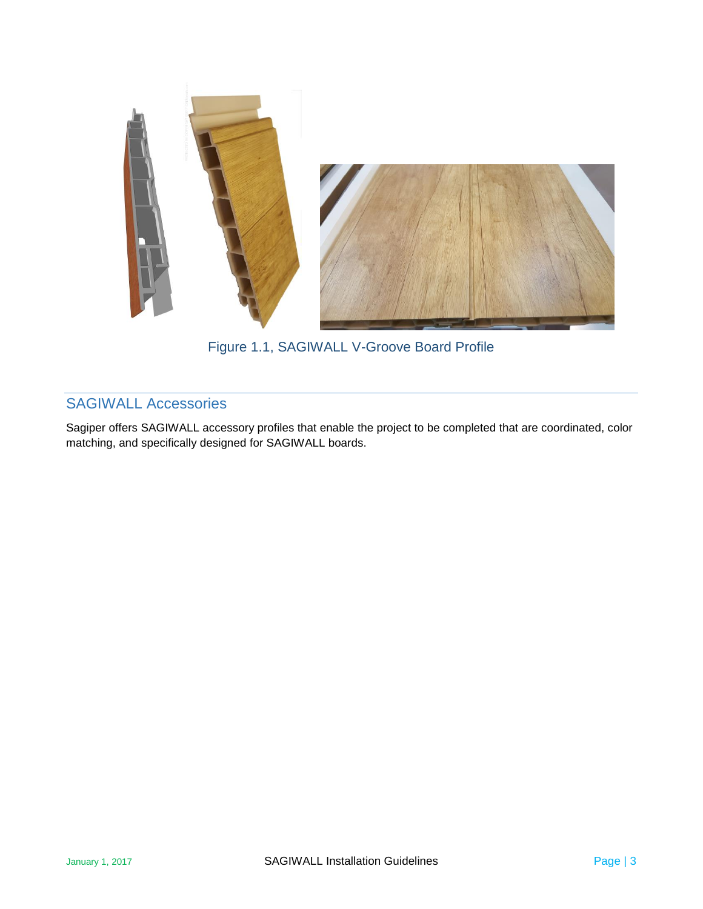

Figure 1.1, SAGIWALL V-Groove Board Profile

# SAGIWALL Accessories

Sagiper offers SAGIWALL accessory profiles that enable the project to be completed that are coordinated, color matching, and specifically designed for SAGIWALL boards.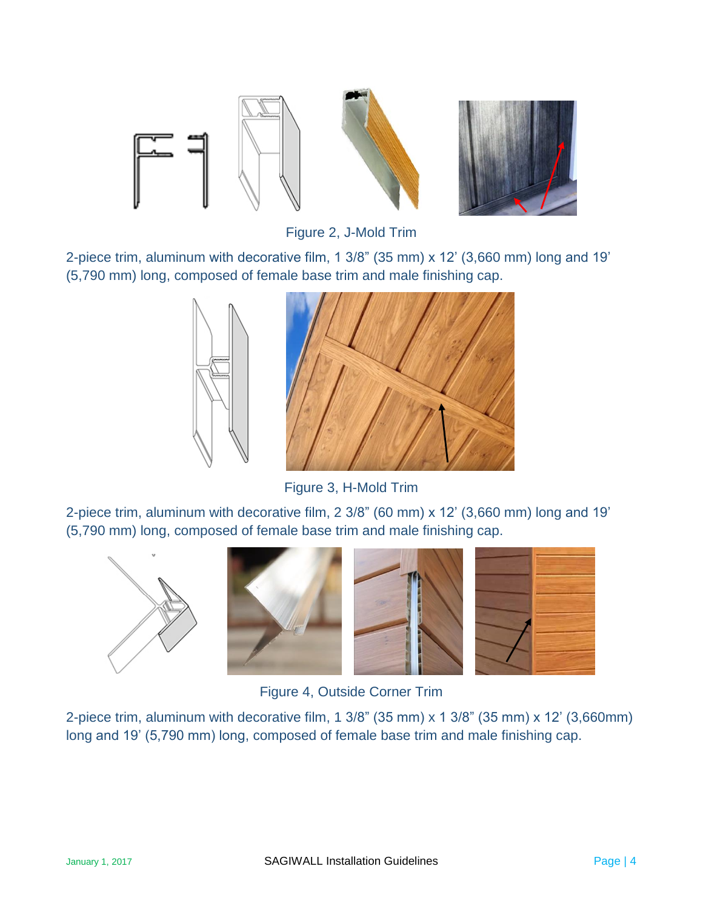

Figure 2, J-Mold Trim

<span id="page-3-0"></span>2-piece trim, aluminum with decorative film, 1 3/8" (35 mm) x 12' (3,660 mm) long and 19' (5,790 mm) long, composed of female base trim and male finishing cap.



Figure 3, H-Mold Trim

<span id="page-3-1"></span>2-piece trim, aluminum with decorative film, 2 3/8" (60 mm) x 12' (3,660 mm) long and 19' (5,790 mm) long, composed of female base trim and male finishing cap.









Figure 4, Outside Corner Trim

2-piece trim, aluminum with decorative film, 1 3/8" (35 mm) x 1 3/8" (35 mm) x 12' (3,660mm) long and 19' (5,790 mm) long, composed of female base trim and male finishing cap.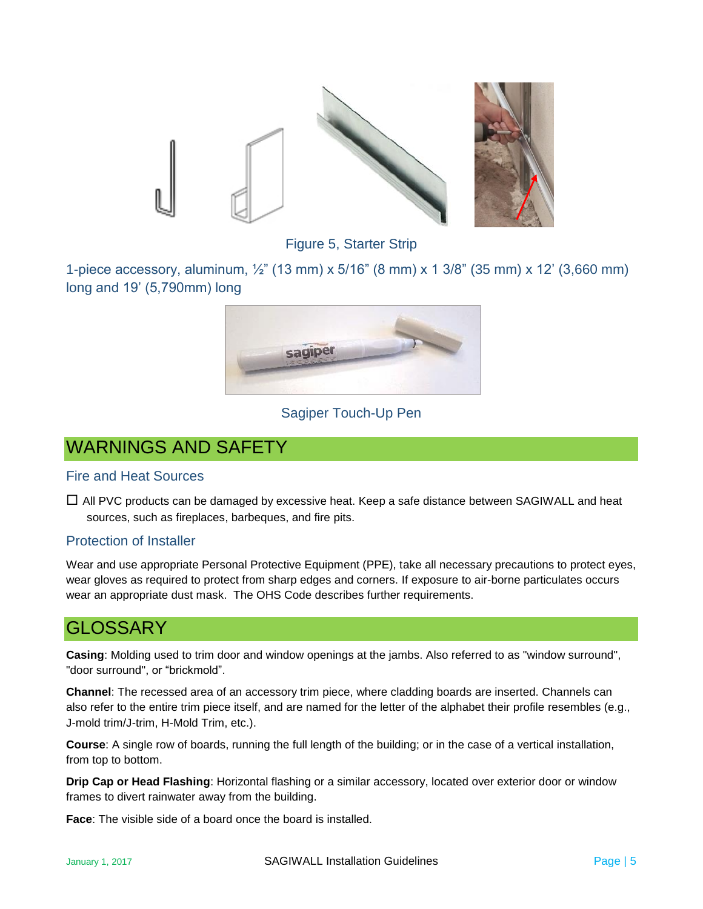

Figure 5, Starter Strip

1-piece accessory, aluminum, ½" (13 mm) x 5/16" (8 mm) x 1 3/8" (35 mm) x 12' (3,660 mm) long and 19' (5,790mm) long



#### Sagiper Touch-Up Pen

# WARNINGS AND SAFETY

#### Fire and Heat Sources

 $\Box$  All PVC products can be damaged by excessive heat. Keep a safe distance between SAGIWALL and heat sources, such as fireplaces, barbeques, and fire pits.

#### Protection of Installer

Wear and use appropriate Personal Protective Equipment (PPE), take all necessary precautions to protect eyes, wear gloves as required to protect from sharp edges and corners. If exposure to air-borne particulates occurs wear an appropriate dust mask. The OHS Code describes further requirements.

# GLOSSARY

**Casing**: Molding used to trim door and window openings at the jambs. Also referred to as "window surround", "door surround", or "brickmold".

**Channel**: The recessed area of an accessory trim piece, where cladding boards are inserted. Channels can also refer to the entire trim piece itself, and are named for the letter of the alphabet their profile resembles (e.g., J-mold trim/J-trim, H-Mold Trim, etc.).

**Course**: A single row of boards, running the full length of the building; or in the case of a vertical installation, from top to bottom.

**Drip Cap or Head Flashing**: Horizontal flashing or a similar accessory, located over exterior door or window frames to divert rainwater away from the building.

**Face**: The visible side of a board once the board is installed.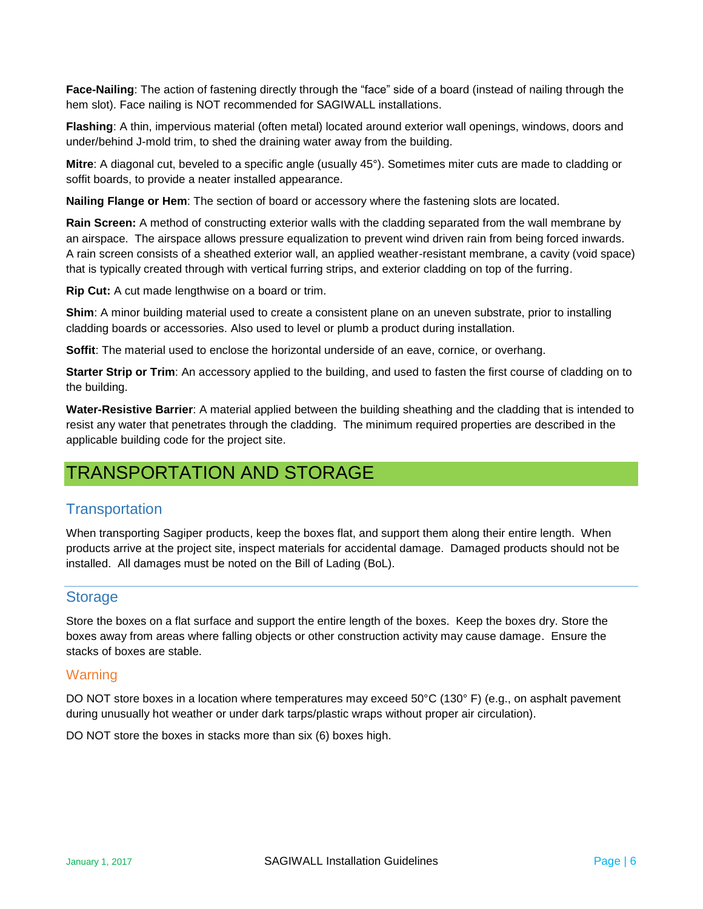**Face-Nailing**: The action of fastening directly through the "face" side of a board (instead of nailing through the hem slot). Face nailing is NOT recommended for SAGIWALL installations.

**Flashing**: A thin, impervious material (often metal) located around exterior wall openings, windows, doors and under/behind J-mold trim, to shed the draining water away from the building.

**Mitre**: A diagonal cut, beveled to a specific angle (usually 45°). Sometimes miter cuts are made to cladding or soffit boards, to provide a neater installed appearance.

**Nailing Flange or Hem**: The section of board or accessory where the fastening slots are located.

**Rain Screen:** A method of constructing exterior walls with the cladding separated from the wall membrane by an airspace. The airspace allows pressure equalization to prevent wind driven rain from being forced inwards. A rain screen consists of a sheathed exterior wall, an applied weather-resistant membrane, a cavity (void space) that is typically created through with vertical furring strips, and exterior cladding on top of the furring.

**Rip Cut:** A cut made lengthwise on a board or trim.

**Shim**: A minor building material used to create a consistent plane on an uneven substrate, prior to installing cladding boards or accessories. Also used to level or plumb a product during installation.

**Soffit**: The material used to enclose the horizontal underside of an eave, cornice, or overhang.

**Starter Strip or Trim**: An accessory applied to the building, and used to fasten the first course of cladding on to the building.

**Water-Resistive Barrier**: A material applied between the building sheathing and the cladding that is intended to resist any water that penetrates through the cladding. The minimum required properties are described in the applicable building code for the project site.

# TRANSPORTATION AND STORAGE

# **Transportation**

When transporting Sagiper products, keep the boxes flat, and support them along their entire length. When products arrive at the project site, inspect materials for accidental damage. Damaged products should not be installed. All damages must be noted on the Bill of Lading (BoL).

# **Storage**

Store the boxes on a flat surface and support the entire length of the boxes. Keep the boxes dry. Store the boxes away from areas where falling objects or other construction activity may cause damage. Ensure the stacks of boxes are stable.

#### **Warning**

DO NOT store boxes in a location where temperatures may exceed 50°C (130° F) (e.g., on asphalt pavement during unusually hot weather or under dark tarps/plastic wraps without proper air circulation).

DO NOT store the boxes in stacks more than six (6) boxes high.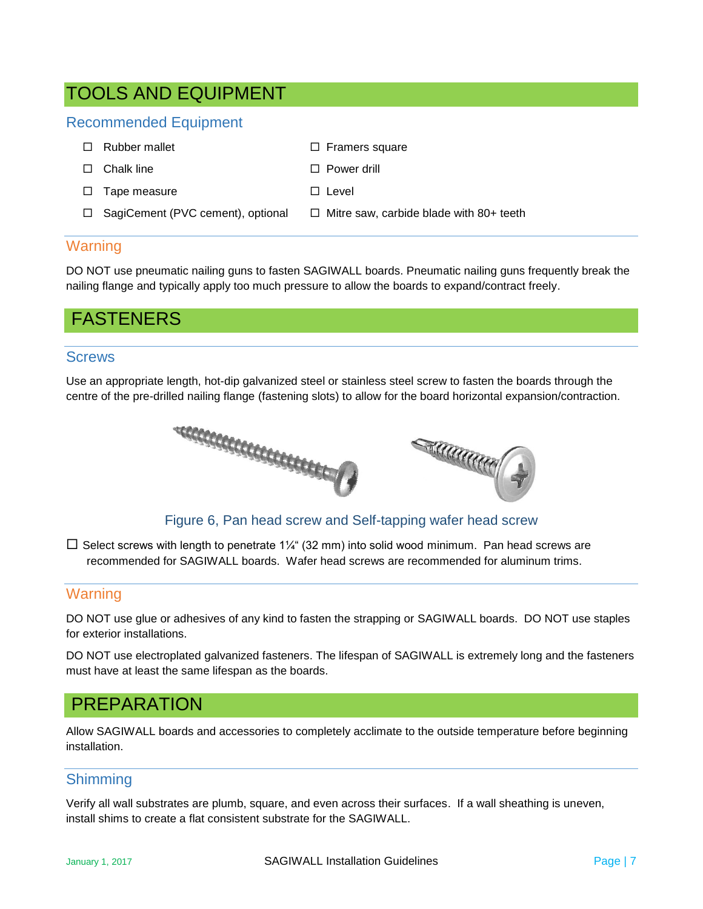# TOOLS AND EQUIPMENT

# Recommended Equipment

| $\Box$ Rubber mallet | $\Box$ Framers square                                                         |
|----------------------|-------------------------------------------------------------------------------|
| $\Box$ Chalk line    | $\Box$ Power drill                                                            |
| $\Box$ Tape measure  | $\Box$ Level                                                                  |
|                      | □ SagiCement (PVC cement), optional □ Mitre saw, carbide blade with 80+ teeth |

# **Warning**

DO NOT use pneumatic nailing guns to fasten SAGIWALL boards. Pneumatic nailing guns frequently break the nailing flange and typically apply too much pressure to allow the boards to expand/contract freely.

# FASTENERS

#### **Screws**

Use an appropriate length, hot-dip galvanized steel or stainless steel screw to fasten the boards through the centre of the pre-drilled nailing flange (fastening slots) to allow for the board horizontal expansion/contraction.



Figure 6, Pan head screw and Self-tapping wafer head screw

 $\Box$  Select screws with length to penetrate 1¼" (32 mm) into solid wood minimum. Pan head screws are recommended for SAGIWALL boards. Wafer head screws are recommended for aluminum trims.

## **Warning**

DO NOT use glue or adhesives of any kind to fasten the strapping or SAGIWALL boards. DO NOT use staples for exterior installations.

DO NOT use electroplated galvanized fasteners. The lifespan of SAGIWALL is extremely long and the fasteners must have at least the same lifespan as the boards.

# PREPARATION

Allow SAGIWALL boards and accessories to completely acclimate to the outside temperature before beginning installation.

#### Shimming

Verify all wall substrates are plumb, square, and even across their surfaces. If a wall sheathing is uneven, install shims to create a flat consistent substrate for the SAGIWALL.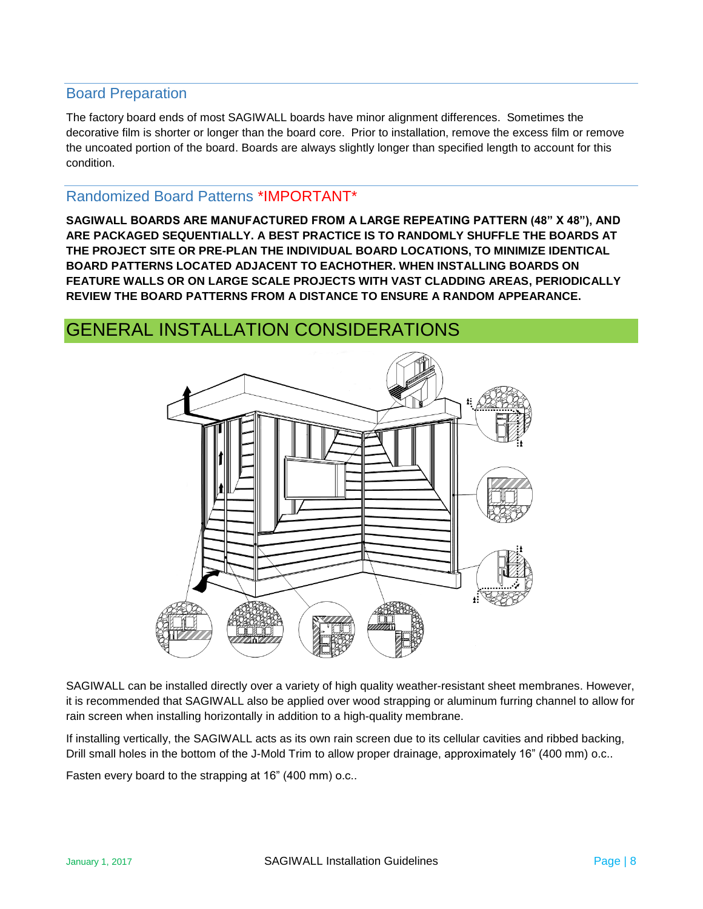## Board Preparation

The factory board ends of most SAGIWALL boards have minor alignment differences. Sometimes the decorative film is shorter or longer than the board core. Prior to installation, remove the excess film or remove the uncoated portion of the board. Boards are always slightly longer than specified length to account for this condition.

## Randomized Board Patterns \*IMPORTANT\*

**SAGIWALL BOARDS ARE MANUFACTURED FROM A LARGE REPEATING PATTERN (48" X 48"), AND ARE PACKAGED SEQUENTIALLY. A BEST PRACTICE IS TO RANDOMLY SHUFFLE THE BOARDS AT THE PROJECT SITE OR PRE-PLAN THE INDIVIDUAL BOARD LOCATIONS, TO MINIMIZE IDENTICAL BOARD PATTERNS LOCATED ADJACENT TO EACHOTHER. WHEN INSTALLING BOARDS ON FEATURE WALLS OR ON LARGE SCALE PROJECTS WITH VAST CLADDING AREAS, PERIODICALLY REVIEW THE BOARD PATTERNS FROM A DISTANCE TO ENSURE A RANDOM APPEARANCE.**

# GENERAL INSTALLATION CONSIDERATIONS



SAGIWALL can be installed directly over a variety of high quality weather-resistant sheet membranes. However, it is recommended that SAGIWALL also be applied over wood strapping or aluminum furring channel to allow for rain screen when installing horizontally in addition to a high-quality membrane.

If installing vertically, the SAGIWALL acts as its own rain screen due to its cellular cavities and ribbed backing, Drill small holes in the bottom of the J-Mold Trim to allow proper drainage, approximately 16" (400 mm) o.c..

Fasten every board to the strapping at 16" (400 mm) o.c..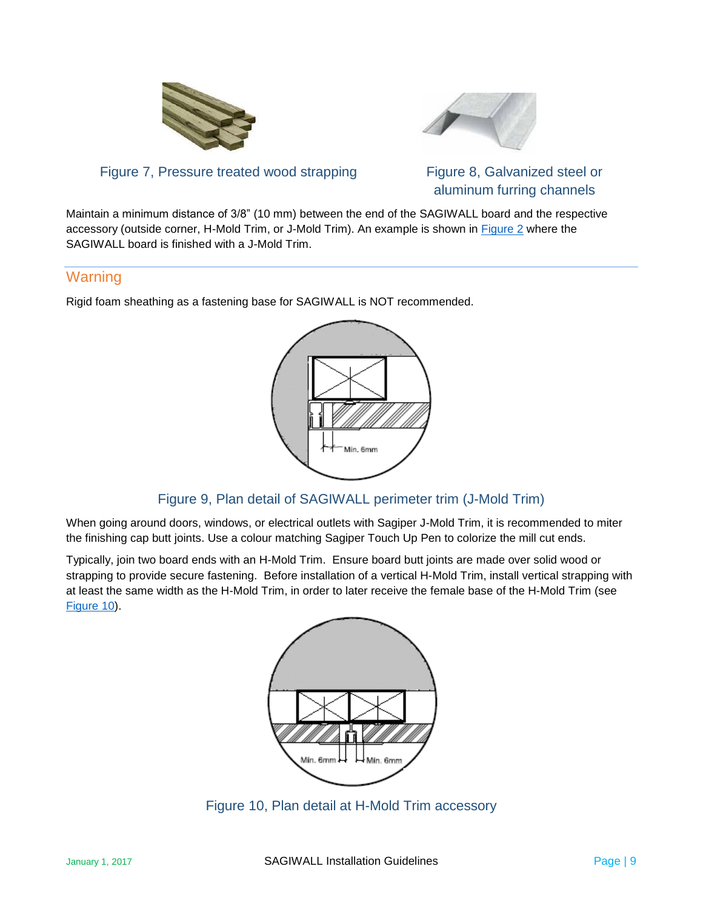



Figure 7, Pressure treated wood strapping Figure 8, Galvanized steel or

aluminum furring channels

Maintain a minimum distance of 3/8" (10 mm) between the end of the SAGIWALL board and the respective accessory (outside corner, H-Mold Trim, or J-Mold Trim). An example is shown in [Figure 2](#page-3-0) where the SAGIWALL board is finished with a J-Mold Trim.

# **Warning**

Rigid foam sheathing as a fastening base for SAGIWALL is NOT recommended.



# Figure 9, Plan detail of SAGIWALL perimeter trim (J-Mold Trim)

When going around doors, windows, or electrical outlets with Sagiper J-Mold Trim, it is recommended to miter the finishing cap butt joints. Use a colour matching Sagiper Touch Up Pen to colorize the mill cut ends.

Typically, join two board ends with an H-Mold Trim. Ensure board butt joints are made over solid wood or strapping to provide secure fastening. Before installation of a vertical H-Mold Trim, install vertical strapping with at least the same width as the H-Mold Trim, in order to later receive the female base of the H-Mold Trim (see [Figure 10\)](#page-8-0).



<span id="page-8-0"></span>Figure 10, Plan detail at H-Mold Trim accessory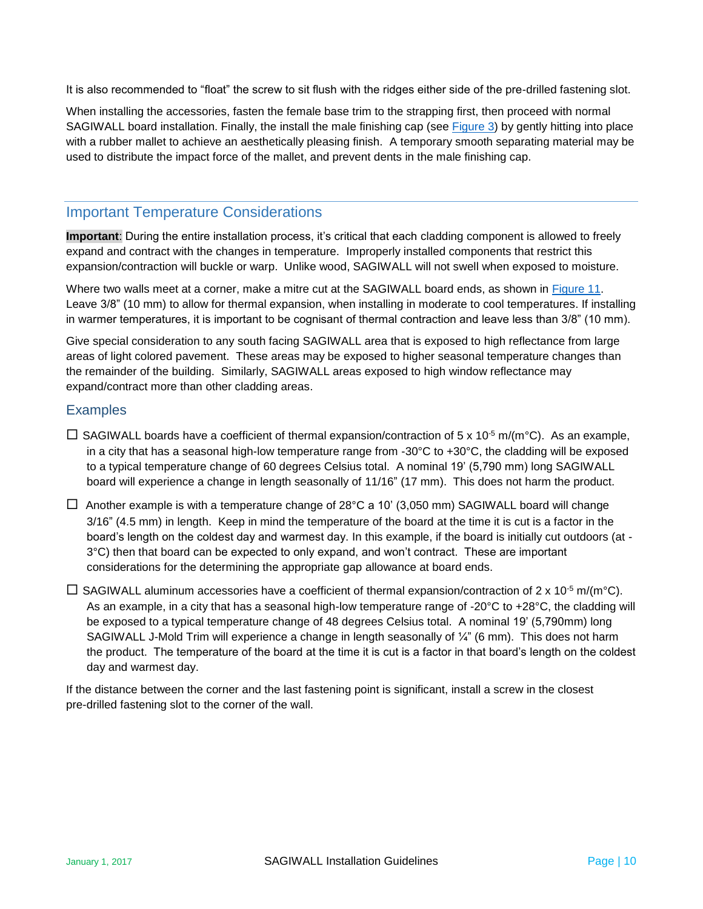It is also recommended to "float" the screw to sit flush with the ridges either side of the pre-drilled fastening slot.

When installing the accessories, fasten the female base trim to the strapping first, then proceed with normal SAGIWALL board installation. Finally, the install the male finishing cap (see [Figure 3\)](#page-3-1) by gently hitting into place with a rubber mallet to achieve an aesthetically pleasing finish. A temporary smooth separating material may be used to distribute the impact force of the mallet, and prevent dents in the male finishing cap.

## Important Temperature Considerations

**Important**: During the entire installation process, it's critical that each cladding component is allowed to freely expand and contract with the changes in temperature. Improperly installed components that restrict this expansion/contraction will buckle or warp. Unlike wood, SAGIWALL will not swell when exposed to moisture.

Where two walls meet at a corner, make a mitre cut at the SAGIWALL board ends, as shown in [Figure 11.](#page-10-0) Leave 3/8" (10 mm) to allow for thermal expansion, when installing in moderate to cool temperatures. If installing in warmer temperatures, it is important to be cognisant of thermal contraction and leave less than 3/8" (10 mm).

Give special consideration to any south facing SAGIWALL area that is exposed to high reflectance from large areas of light colored pavement. These areas may be exposed to higher seasonal temperature changes than the remainder of the building. Similarly, SAGIWALL areas exposed to high window reflectance may expand/contract more than other cladding areas.

## **Examples**

- $□$  SAGIWALL boards have a coefficient of thermal expansion/contraction of 5 x 10<sup>-5</sup> m/(m<sup>o</sup>C). As an example, in a city that has a seasonal high-low temperature range from -30°C to +30°C, the cladding will be exposed to a typical temperature change of 60 degrees Celsius total. A nominal 19' (5,790 mm) long SAGIWALL board will experience a change in length seasonally of 11/16" (17 mm). This does not harm the product.
- $\Box$  Another example is with a temperature change of 28°C a 10' (3,050 mm) SAGIWALL board will change 3/16" (4.5 mm) in length. Keep in mind the temperature of the board at the time it is cut is a factor in the board's length on the coldest day and warmest day. In this example, if the board is initially cut outdoors (at - 3°C) then that board can be expected to only expand, and won't contract. These are important considerations for the determining the appropriate gap allowance at board ends.
- $\Box$  SAGIWALL aluminum accessories have a coefficient of thermal expansion/contraction of 2 x 10<sup>-5</sup> m/(m<sup>o</sup>C). As an example, in a city that has a seasonal high-low temperature range of -20°C to +28°C, the cladding will be exposed to a typical temperature change of 48 degrees Celsius total. A nominal 19' (5,790mm) long SAGIWALL J-Mold Trim will experience a change in length seasonally of ¼" (6 mm). This does not harm the product. The temperature of the board at the time it is cut is a factor in that board's length on the coldest day and warmest day.

If the distance between the corner and the last fastening point is significant, install a screw in the closest pre-drilled fastening slot to the corner of the wall.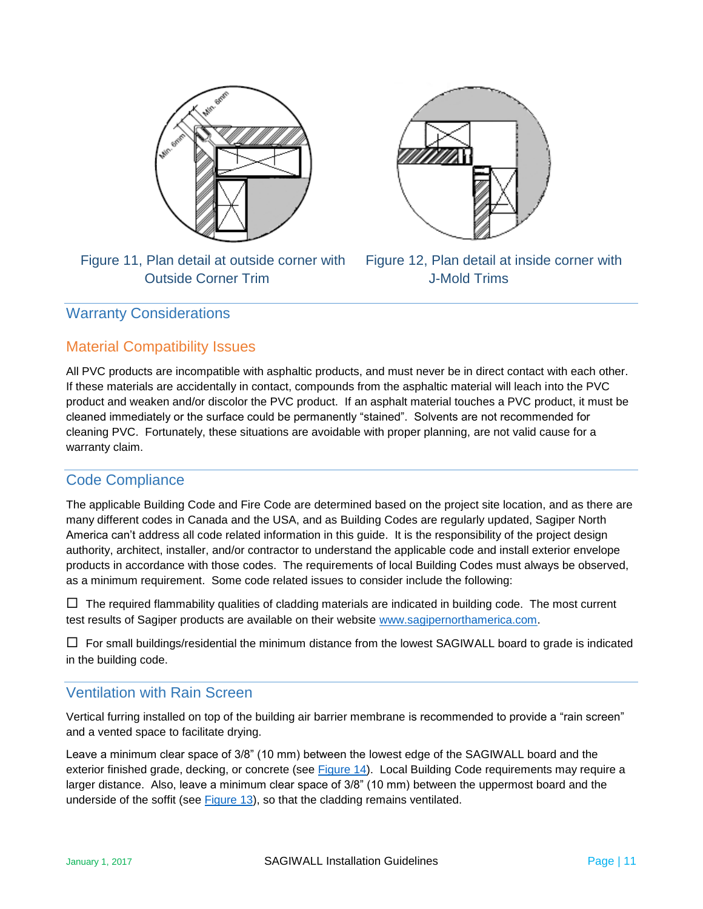

Figure 11, Plan detail at outside corner with Figure 12, Plan detail at inside corner with Outside Corner Trim J-Mold Trims



# <span id="page-10-0"></span>Warranty Considerations

# Material Compatibility Issues

All PVC products are incompatible with asphaltic products, and must never be in direct contact with each other. If these materials are accidentally in contact, compounds from the asphaltic material will leach into the PVC product and weaken and/or discolor the PVC product. If an asphalt material touches a PVC product, it must be cleaned immediately or the surface could be permanently "stained". Solvents are not recommended for cleaning PVC. Fortunately, these situations are avoidable with proper planning, are not valid cause for a warranty claim.

# Code Compliance

The applicable Building Code and Fire Code are determined based on the project site location, and as there are many different codes in Canada and the USA, and as Building Codes are regularly updated, Sagiper North America can't address all code related information in this guide. It is the responsibility of the project design authority, architect, installer, and/or contractor to understand the applicable code and install exterior envelope products in accordance with those codes. The requirements of local Building Codes must always be observed, as a minimum requirement. Some code related issues to consider include the following:

 $\Box$  The required flammability qualities of cladding materials are indicated in building code. The most current test results of Sagiper products are available on their website [www.sagipernorthamerica.com.](http://www.sagipernorthamerica.com/)

 $\Box$  For small buildings/residential the minimum distance from the lowest SAGIWALL board to grade is indicated in the building code.

# Ventilation with Rain Screen

Vertical furring installed on top of the building air barrier membrane is recommended to provide a "rain screen" and a vented space to facilitate drying.

Leave a minimum clear space of 3/8" (10 mm) between the lowest edge of the SAGIWALL board and the exterior finished grade, decking, or concrete (see [Figure 14\)](#page-11-0). Local Building Code requirements may require a larger distance. Also, leave a minimum clear space of 3/8" (10 mm) between the uppermost board and the underside of the soffit (see [Figure](#page-11-0) 13), so that the cladding remains ventilated.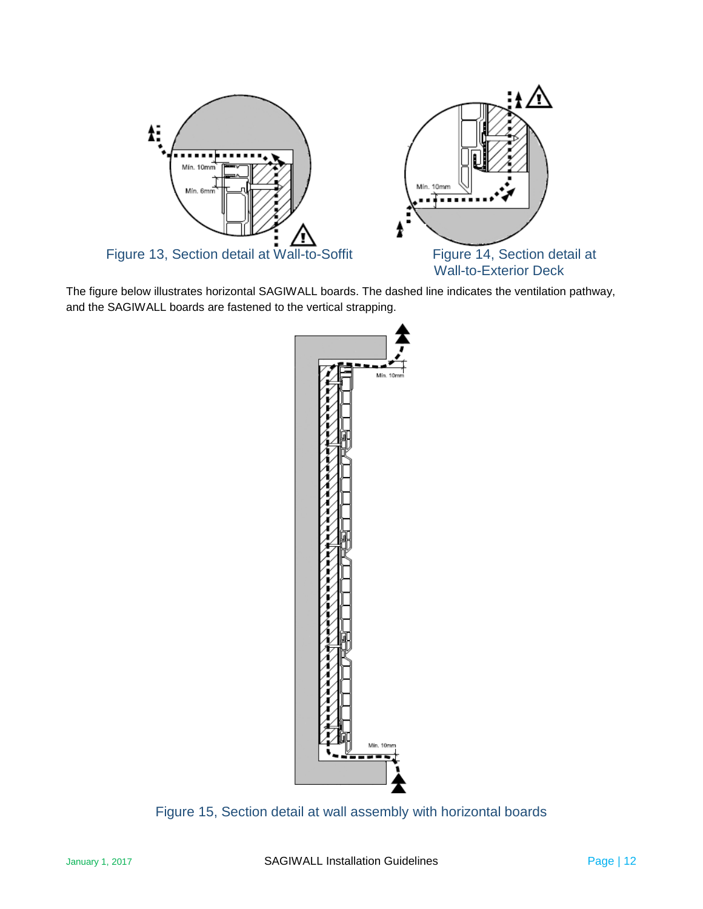

<span id="page-11-0"></span>The figure below illustrates horizontal SAGIWALL boards. The dashed line indicates the ventilation pathway, and the SAGIWALL boards are fastened to the vertical strapping.



Figure 15, Section detail at wall assembly with horizontal boards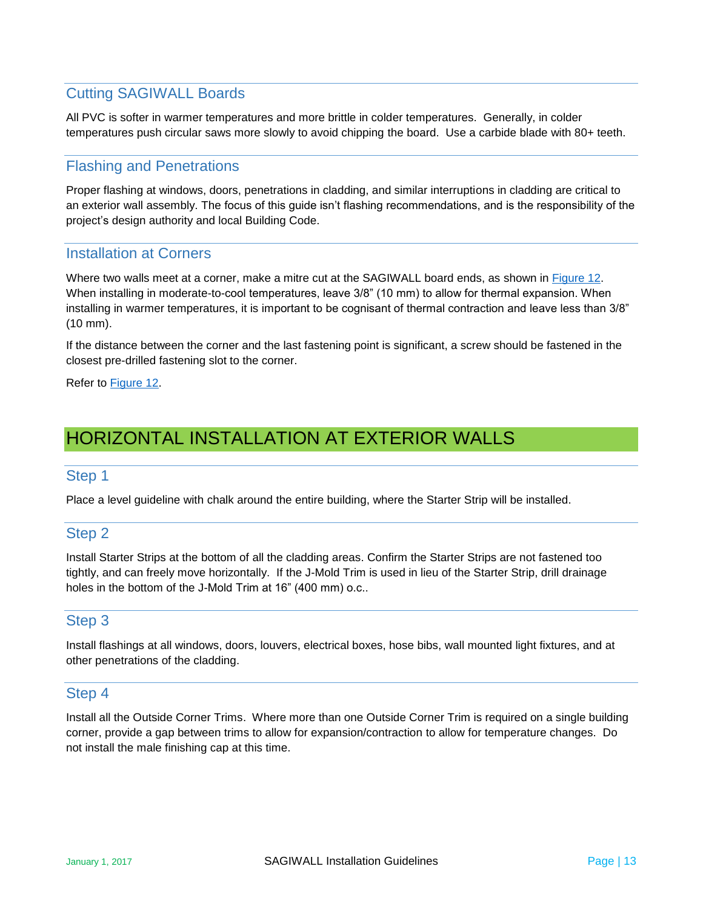# Cutting SAGIWALL Boards

All PVC is softer in warmer temperatures and more brittle in colder temperatures. Generally, in colder temperatures push circular saws more slowly to avoid chipping the board. Use a carbide blade with 80+ teeth.

# Flashing and Penetrations

Proper flashing at windows, doors, penetrations in cladding, and similar interruptions in cladding are critical to an exterior wall assembly. The focus of this guide isn't flashing recommendations, and is the responsibility of the project's design authority and local Building Code.

## Installation at Corners

Where two walls meet at a corner, make a mitre cut at the SAGIWALL board ends, as shown in [Figure 12.](#page-10-0) When installing in moderate-to-cool temperatures, leave 3/8" (10 mm) to allow for thermal expansion. When installing in warmer temperatures, it is important to be cognisant of thermal contraction and leave less than 3/8" (10 mm).

If the distance between the corner and the last fastening point is significant, a screw should be fastened in the closest pre-drilled fastening slot to the corner.

Refer to [Figure 12.](#page-10-0)

# HORIZONTAL INSTALLATION AT EXTERIOR WALLS

#### Step 1

Place a level guideline with chalk around the entire building, where the Starter Strip will be installed.

# Step 2

Install Starter Strips at the bottom of all the cladding areas. Confirm the Starter Strips are not fastened too tightly, and can freely move horizontally. If the J-Mold Trim is used in lieu of the Starter Strip, drill drainage holes in the bottom of the J-Mold Trim at 16" (400 mm) o.c..

# Step 3

Install flashings at all windows, doors, louvers, electrical boxes, hose bibs, wall mounted light fixtures, and at other penetrations of the cladding.

#### Step 4

Install all the Outside Corner Trims. Where more than one Outside Corner Trim is required on a single building corner, provide a gap between trims to allow for expansion/contraction to allow for temperature changes. Do not install the male finishing cap at this time.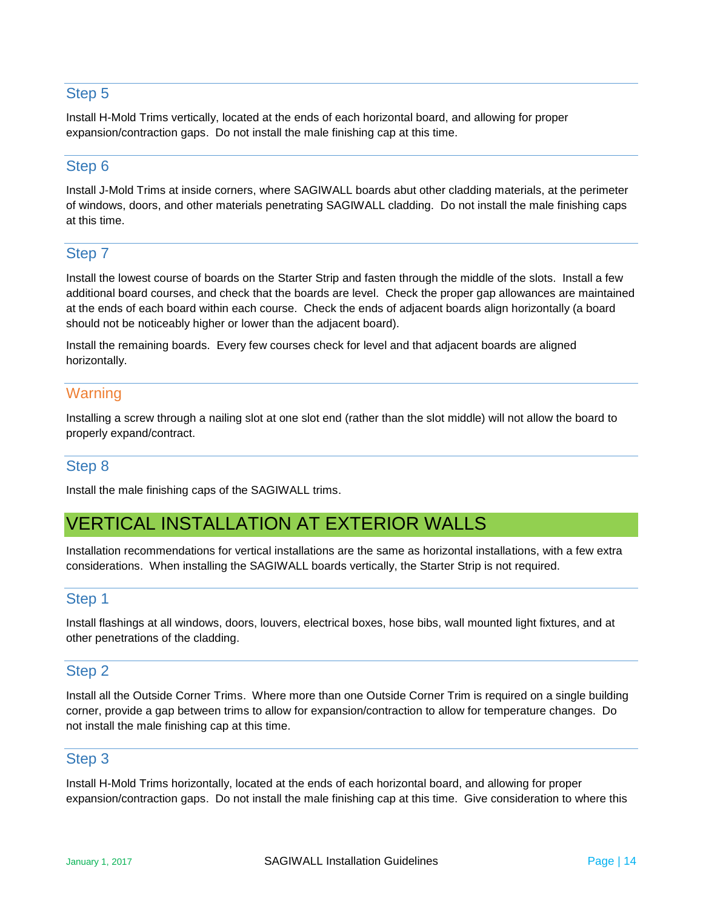# Step 5

Install H-Mold Trims vertically, located at the ends of each horizontal board, and allowing for proper expansion/contraction gaps. Do not install the male finishing cap at this time.

# Step 6

Install J-Mold Trims at inside corners, where SAGIWALL boards abut other cladding materials, at the perimeter of windows, doors, and other materials penetrating SAGIWALL cladding. Do not install the male finishing caps at this time.

# Step 7

Install the lowest course of boards on the Starter Strip and fasten through the middle of the slots. Install a few additional board courses, and check that the boards are level. Check the proper gap allowances are maintained at the ends of each board within each course. Check the ends of adjacent boards align horizontally (a board should not be noticeably higher or lower than the adjacent board).

Install the remaining boards. Every few courses check for level and that adjacent boards are aligned horizontally.

# **Warning**

Installing a screw through a nailing slot at one slot end (rather than the slot middle) will not allow the board to properly expand/contract.

# Step 8

Install the male finishing caps of the SAGIWALL trims.

# VERTICAL INSTALLATION AT EXTERIOR WALLS

Installation recommendations for vertical installations are the same as horizontal installations, with a few extra considerations. When installing the SAGIWALL boards vertically, the Starter Strip is not required.

# Step 1

Install flashings at all windows, doors, louvers, electrical boxes, hose bibs, wall mounted light fixtures, and at other penetrations of the cladding.

#### Step 2

Install all the Outside Corner Trims. Where more than one Outside Corner Trim is required on a single building corner, provide a gap between trims to allow for expansion/contraction to allow for temperature changes. Do not install the male finishing cap at this time.

#### Step 3

Install H-Mold Trims horizontally, located at the ends of each horizontal board, and allowing for proper expansion/contraction gaps. Do not install the male finishing cap at this time. Give consideration to where this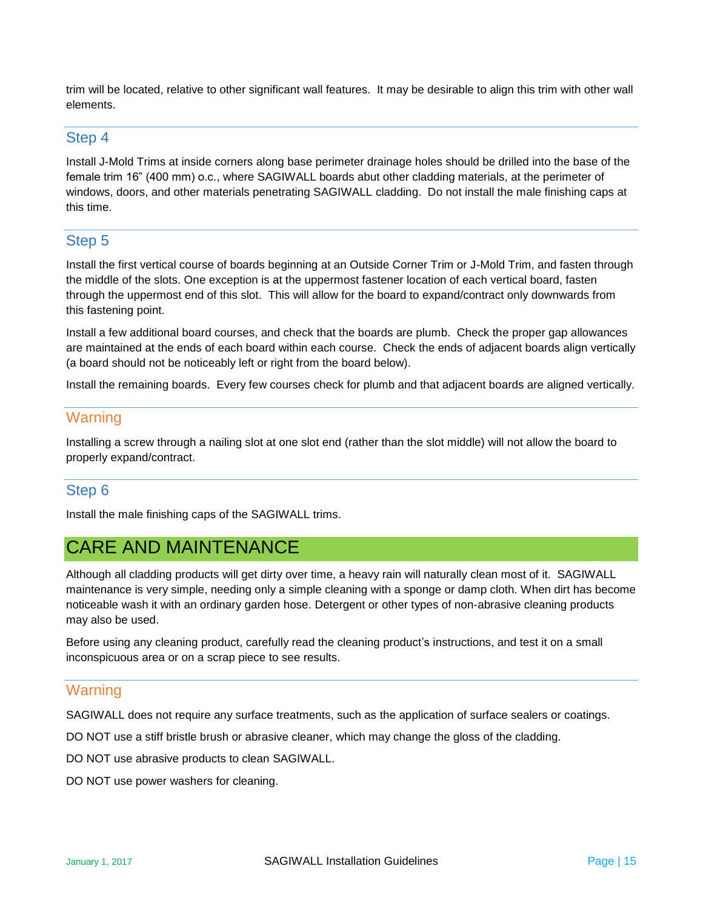trim will be located, relative to other significant wall features. It may be desirable to align this trim with other wall elements.

# Step 4

Install J-Mold Trims at inside corners along base perimeter drainage holes should be drilled into the base of the female trim 16" (400 mm) o.c., where SAGIWALL boards abut other cladding materials, at the perimeter of windows, doors, and other materials penetrating SAGIWALL cladding. Do not install the male finishing caps at this time.

# Step 5

Install the first vertical course of boards beginning at an Outside Corner Trim or J-Mold Trim, and fasten through the middle of the slots. One exception is at the uppermost fastener location of each vertical board, fasten through the uppermost end of this slot. This will allow for the board to expand/contract only downwards from this fastening point.

Install a few additional board courses, and check that the boards are plumb. Check the proper gap allowances are maintained at the ends of each board within each course. Check the ends of adjacent boards align vertically (a board should not be noticeably left or right from the board below).

Install the remaining boards. Every few courses check for plumb and that adjacent boards are aligned vertically.

# **Warning**

Installing a screw through a nailing slot at one slot end (rather than the slot middle) will not allow the board to properly expand/contract.

# Step 6

Install the male finishing caps of the SAGIWALL trims.

# CARE AND MAINTENANCE

Although all cladding products will get dirty over time, a heavy rain will naturally clean most of it. SAGIWALL maintenance is very simple, needing only a simple cleaning with a sponge or damp cloth. When dirt has become noticeable wash it with an ordinary garden hose. Detergent or other types of non-abrasive cleaning products may also be used.

Before using any cleaning product, carefully read the cleaning product's instructions, and test it on a small inconspicuous area or on a scrap piece to see results.

# **Warning**

SAGIWALL does not require any surface treatments, such as the application of surface sealers or coatings.

DO NOT use a stiff bristle brush or abrasive cleaner, which may change the gloss of the cladding.

DO NOT use abrasive products to clean SAGIWALL.

DO NOT use power washers for cleaning.